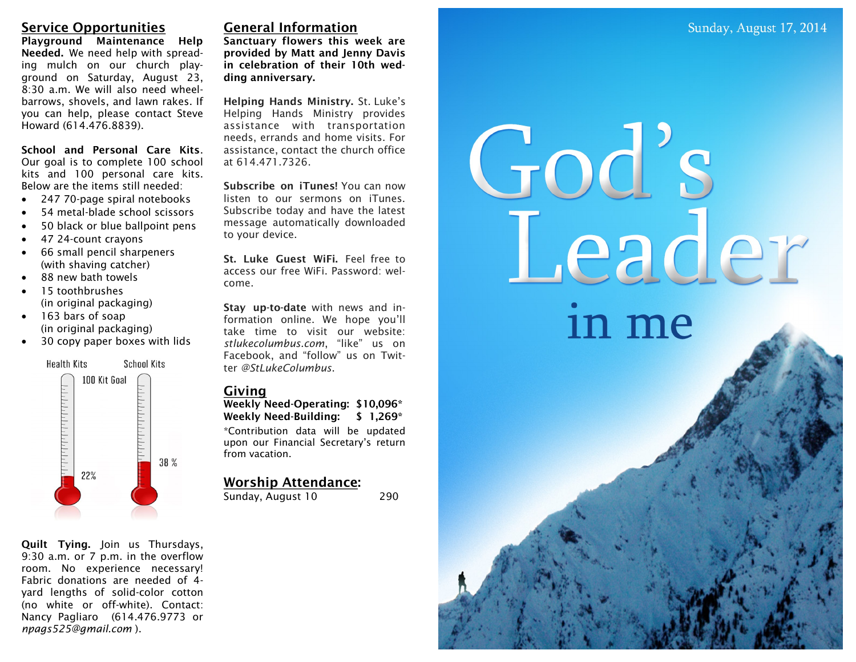eader

in me

# **Service Opportunities**

**Playground Maintenance Help Needed.** We need help with spreading mulch on our church playground on Saturday, August 23, 8:30 a.m. We will also need wheelbarrows, shovels, and lawn rakes. If you can help, please contact Steve Howard (614.476.8839).

**School and Personal Care Kits**. Our goal is to complete 100 school kits and 100 personal care kits. Below are the items still needed:

- 247 70-page spiral notebooks
- 54 metal-blade school scissors
- 50 black or blue ballpoint pens
- 47 24-count crayons
- 66 small pencil sharpeners (with shaving catcher)
- 88 new bath towels
- 15 toothbrushes (in original packaging)
- 163 bars of soap (in original packaging)
- 30 copy paper boxes with lids



**Quilt Tying.** Join us Thursdays, 9:30 a.m. or 7 p.m. in the overflow room. No experience necessary! Fabric donations are needed of 4 yard lengths of solid-color cotton (no white or off-white). Contact: Nancy Pagliaro (614.476.9773 or *npags525@gmail.com* ).

## **General Information**

**Sanctuary flowers this week are provided by Matt and Jenny Davis in celebration of their 10th wedding anniversary.** 

**Helping Hands Ministry.** St. Luke's Helping Hands Ministry provides assistance with transportation needs, errands and home visits. For assistance, contact the church office at 614.471.7326.

**Subscribe on iTunes!** You can now listen to our sermons on iTunes. Subscribe today and have the latest message automatically downloaded to your device.

**St. Luke Guest WiFi.** Feel free to access our free WiFi. Password: welcome.

**Stay up-to-date** with news and information online. We hope you'll take time to visit our website: *stlukecolumbus.com*, "like" us on Facebook, and "follow" us on Twitter *@StLukeColumbus*.

### **Giving**

**Weekly Need-Operating: \$10,096\* Weekly Need-Building: \$ 1,269\***

\*Contribution data will be updated upon our Financial Secretary's return from vacation.

## **Worship Attendance:**

Sunday, August 10 290